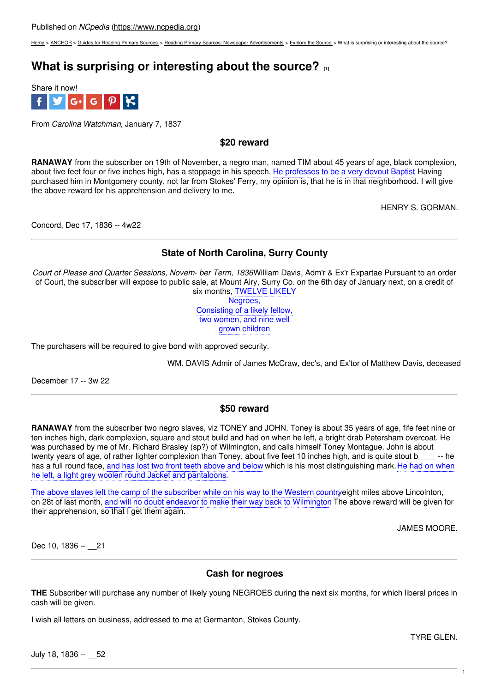[Home](https://www.ncpedia.org/) > [ANCHOR](https://www.ncpedia.org/anchor/anchor) > Guides for [Reading](https://www.ncpedia.org/anchor/guides-reading-primary) Primary Sources > Reading Primary Sources: Newspaper [Advertisements](https://www.ncpedia.org/anchor/reading-primary-sources-3) > [Explore](https://www.ncpedia.org/anchor/explore-source-1) the Source > What is surprising or interesting about the source?

# **What is surprising or [interesting](https://www.ncpedia.org/anchor/what-surprising-or-0) about the source? [1]**



From *Carolina Watchman*, January 7, 1837

### **\$20 reward**

**RANAWAY** from the subscriber on 19th of November, a negro man, named TIM about 45 years of age, black complexion, about five feet four or five inches high, has a stoppage in his speech. He professes to be a very devout Baptist Having purchased him in Montgomery county, not far from Stokes' Ferry, my opinion is, that he is in that neighborhood. I will give the above reward for his apprehension and delivery to me.

HENRY S. GORMAN.

Concord, Dec 17, 1836 -- 4w22

## **State of North Carolina, Surry County**

*Court of Please and Quarter Sessions, Novem- ber Term, 1836*William Davis, Adm'r & Ex'r Expartae Pursuant to an order of Court, the subscriber will expose to public sale, at Mount Airy, Surry Co. on the 6th day of January next, on a credit of six months, TWELVE LIKELY

Negroes, Consisting of a likely fellow, two women, and nine well grown children

The purchasers will be required to give bond with approved security.

WM. DAVIS Admir of James McCraw, dec's, and Ex'tor of Matthew Davis, deceased

December 17 -- 3w 22

### **\$50 reward**

**RANAWAY** from the subscriber two negro slaves, viz TONEY and JOHN. Toney is about 35 years of age, fife feet nine or ten inches high, dark complexion, square and stout build and had on when he left, a bright drab Petersham overcoat. He was purchased by me of Mr. Richard Brasley (sp?) of Wilmington, and calls himself Toney Montague. John is about twenty years of age, of rather lighter complexion than Toney, about five feet 10 inches high, and is quite stout b -- he has a full round face, and has lost two front teeth above and below which is his most distinguishing mark. He had on when he left, a light grey woolen round Jacket and pantaloons.

The above slaves left the camp of the subscriber while on his way to the Western countryeight miles above Lincolnton, on 28t of last month, and will no doubt endeavor to make their way back to Wilmington. The above reward will be given for their apprehension, so that I get them again.

JAMES MOORE.

Dec 10, 1836 -- 21

### **Cash for negroes**

**THE** Subscriber will purchase any number of likely young NEGROES during the next six months, for which liberal prices in cash will be given.

I wish all letters on business, addressed to me at Germanton, Stokes County.

TYRE GLEN.

July 18, 1836 -- \_\_52